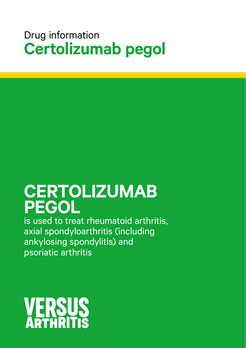## Drug information **Certolizumab pegol**

# **CERTOLIZUMAB PEGOL**

is used to treat rheumatoid arthritis, axial spondyloarthritis (including ankylosing spondylitis) and psoriatic arthritis

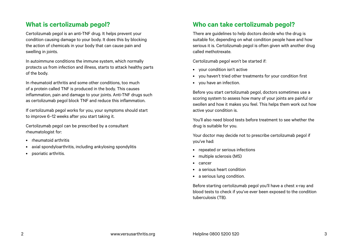## **What is certolizumab pegol?**

Certolizumab pegol is an anti-TNF drug. It helps prevent your condition causing damage to your body. It does this by blocking the action of chemicals in your body that can cause pain and swelling in joints.

In autoimmune conditions the immune system, which normally protects us from infection and illness, starts to attack healthy parts of the body.

In rheumatoid arthritis and some other conditions, too much of a protein called TNF is produced in the body. This causes inflammation, pain and damage to your joints. Anti-TNF drugs such as certolizumab pegol block TNF and reduce this inflammation.

If certolizumab pegol works for you, your symptoms should start to improve 6–12 weeks after you start taking it.

Certolizumab pegol can be prescribed by a consultant rheumatologist for:

- rheumatoid arthritis
- axial spondyloarthritis, including ankylosing spondylitis
- psoriatic arthritis.

## **Who can take certolizumab pegol?**

There are guidelines to help doctors decide who the drug is suitable for, depending on what condition people have and how serious it is. Certolizumab pegol is often given with another drug called methotrexate.

Certolizumab pegol won't be started if:

- your condition isn't active
- you haven't tried other treatments for your condition first
- you have an infection.

Before you start certolizumab pegol, doctors sometimes use a scoring system to assess how many of your joints are painful or swollen and how it makes you feel. This helps them work out how active your condition is.

You'll also need blood tests before treatment to see whether the drug is suitable for you.

Your doctor may decide not to prescribe certolizumab pegol if you've had:

- repeated or serious infections
- multiple sclerosis (MS)
- cancer
- a serious heart condition
- a serious lung condition.

Before starting certolizumab pegol you'll have a chest x-ray and blood tests to check if you've ever been exposed to the condition tuberculosis (TB).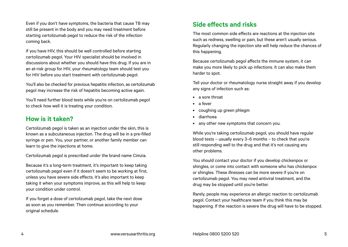Even if you don't have symptoms, the bacteria that cause TB may still be present in the body and you may need treatment before starting certolizumab pegol to reduce the risk of the infection coming back.

If you have HIV, this should be well controlled before starting certolizumab pegol. Your HIV specialist should be involved in discussions about whether you should have this drug. If you are in an at-risk group for HIV, your rheumatology team should test you for HIV before you start treatment with certolizumab pegol.

You'll also be checked for previous hepatitis infection, as certolizumab pegol may increase the risk of hepatitis becoming active again.

You'll need further blood tests while you're on certolizumab pegol to check how well it is treating your condition.

### **How is it taken?**

Certolizumab pegol is taken as an injection under the skin, this is known as a subcutaneous injection. The drug will be in a pre-filled syringe or pen. You, your partner, or another family member can learn to give the injections at home.

Certolizumab pegol is prescribed under the brand name Cimzia.

Because it's a long-term treatment, it's important to keep taking certolizumab pegol even if it doesn't seem to be working at first, unless you have severe side effects. It's also important to keep taking it when your symptoms improve, as this will help to keep your condition under control.

If you forget a dose of certolizumab pegol, take the next dose as soon as you remember. Then continue according to your original schedule.

## **Side effects and risks**

The most common side effects are reactions at the injection site such as redness, swelling or pain, but these aren't usually serious. Regularly changing the injection site will help reduce the chances of this happening.

Because certolizumab pegol affects the immune system, it can make you more likely to pick up infections. It can also make them harder to spot.

Tell your doctor or rheumatology nurse straight away if you develop any signs of infection such as:

- a sore throat
- a fever
- coughing up green phlegm
- diarrhoea
- any other new symptoms that concern you.

While you're taking certolizumab pegol, you should have regular blood tests – usually every 3–6 months – to check that you're still responding well to the drug and that it's not causing any other problems.

You should contact your doctor if you develop chickenpox or shingles, or come into contact with someone who has chickenpox or shingles. These illnesses can be more severe if you're on certolizumab pegol. You may need antiviral treatment, and the drug may be stopped until you're better.

Rarely, people may experience an allergic reaction to certolizumab pegol. Contact your healthcare team if you think this may be happening. If the reaction is severe the drug will have to be stopped.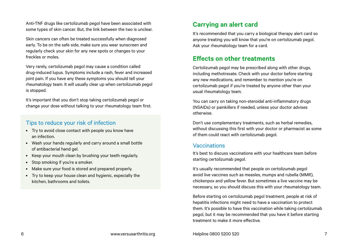Anti-TNF drugs like certolizumab pegol have been associated with some types of skin cancer. But, the link between the two is unclear.

Skin cancers can often be treated successfully when diagnosed early. To be on the safe side, make sure you wear sunscreen and regularly check your skin for any new spots or changes to your freckles or moles.

Very rarely, certolizumab pegol may cause a condition called drug-induced lupus. Symptoms include a rash, fever and increased joint pain. If you have any these symptoms you should tell your rheumatology team. It will usually clear up when certolizumab pegol is stopped.

It's important that you don't stop taking certolizumab pegol or change your dose without talking to your rheumatology team first.

#### Tips to reduce your risk of infection

- Try to avoid close contact with people you know have an infection.
- Wash your hands regularly and carry around a small bottle of antibacterial hand gel.
- Keep your mouth clean by brushing your teeth regularly.
- Stop smoking if you're a smoker.
- Make sure your food is stored and prepared properly.
- Try to keep your house clean and hygienic, especially the kitchen, bathrooms and toilets.

## **Carrying an alert card**

It's recommended that you carry a biological therapy alert card so anyone treating you will know that you're on certolizumab pegol. Ask your rheumatology team for a card.

## **Effects on other treatments**

Certolizumab pegol may be prescribed along with other drugs, including methotrexate. Check with your doctor before starting any new medications, and remember to mention you're on certolizumab pegol if you're treated by anyone other than your usual rheumatology team.

You can carry on taking non-steroidal anti-inflammatory drugs (NSAIDs) or painkillers if needed, unless your doctor advises otherwise.

Don't use complementary treatments, such as herbal remedies, without discussing this first with your doctor or pharmacist as some of them could react with certolizumab pegol.

#### Vaccinations

It's best to discuss vaccinations with your healthcare team before starting certolizumab pegol.

It's usually recommended that people on certolizumab pegol avoid live vaccines such as measles, mumps and rubella (MMR), chickenpox and yellow fever. But sometimes a live vaccine may be necessary, so you should discuss this with your rheumatology team.

Before starting on certolizumab pegol treatment, people at risk of hepatitis infections might need to have a vaccination to protect them. It's possible to have this vaccination while taking certolizumab pegol, but it may be recommended that you have it before starting treatment to make it more effective.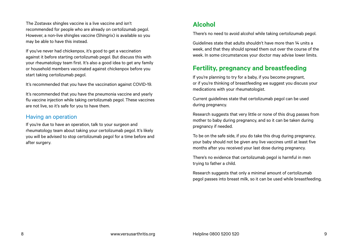The Zostavax shingles vaccine is a live vaccine and isn't recommended for people who are already on certolizumab pegol. However, a non-live shingles vaccine (Shingrix) is available so you may be able to have this instead.

If you've never had chickenpox, it's good to get a vaccination against it before starting certolizumab pegol. But discuss this with your rheumatology team first. It's also a good idea to get any family or household members vaccinated against chickenpox before you start taking certolizumab pegol.

It's recommended that you have the vaccination against COVID-19.

It's recommended that you have the pneumonia vaccine and yearly flu vaccine injection while taking certolizumab pegol. These vaccines are not live, so it's safe for you to have them.

#### Having an operation

If you're due to have an operation, talk to your surgeon and rheumatology team about taking your certolizumab pegol. It's likely you will be advised to stop certolizumab pegol for a time before and after surgery.

## **Alcohol**

There's no need to avoid alcohol while taking certolizumab pegol.

Guidelines state that adults shouldn't have more than 14 units a week, and that they should spread them out over the course of the week. In some circumstances your doctor may advise lower limits.

## **Fertility, pregnancy and breastfeeding**

If you're planning to try for a baby, if you become pregnant, or if you're thinking of breastfeeding we suggest you discuss your medications with your rheumatologist.

Current guidelines state that certolizumab pegol can be used during pregnancy.

Research suggests that very little or none of this drug passes from mother to baby during pregnancy, and so it can be taken during pregnancy if needed.

To be on the safe side, if you do take this drug during pregnancy, your baby should not be given any live vaccines until at least five months after you received your last dose during pregnancy.

There's no evidence that certolizumab pegol is harmful in men trying to father a child.

Research suggests that only a minimal amount of certolizumab pegol passes into breast milk, so it can be used while breastfeeding.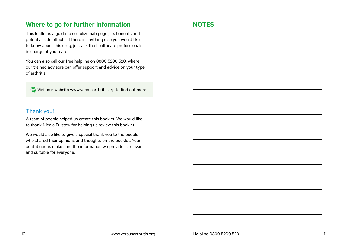## **Where to go for further information**

This leaflet is a guide to certolizumab pegol, its benefits and potential side effects. If there is anything else you would like to know about this drug, just ask the healthcare professionals in charge of your care.

You can also call our free helpline on 0800 5200 520, where our trained advisors can offer support and advice on your type of arthritis.

Visit our website [www.versusarthritis.org](http://www.versusarthritis.org) to find out more.

### Thank you!

A team of people helped us create this booklet. We would like to thank Nicola Fulstow for helping us review this booklet.

We would also like to give a special thank you to the people who shared their opinions and thoughts on the booklet. Your contributions make sure the information we provide is relevant and suitable for everyone.

## **NOTES**